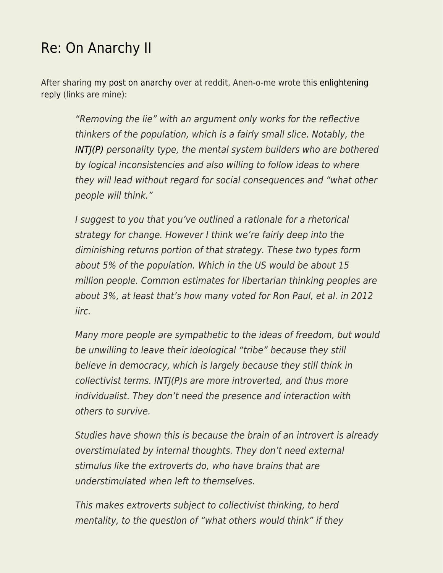## [Re: On Anarchy II](https://everything-voluntary.com/re-on-anarchy-ii)

After sharing [my post on anarchy](http://everything-voluntary.com/2014/12/on-anarchy-ii.html) over at reddit, Anen-o-me wrote [this enlightening](http://www.reddit.com/r/Anarcho_Capitalism/comments/2plmkk/on_anarchy_ii/cmxvdec) [reply](http://www.reddit.com/r/Anarcho_Capitalism/comments/2plmkk/on_anarchy_ii/cmxvdec) (links are mine):

> "Removing the lie" with an argument only works for the reflective thinkers of the population, which is a fairly small slice. Notably, the [INTJ\(P\)](https://personalityjunkie.com/08/intj-vs-intp-type-differences/) personality type, the mental system builders who are bothered by logical inconsistencies and also willing to follow ideas to where they will lead without regard for social consequences and "what other people will think."

> I suggest to you that you've outlined a rationale for a rhetorical strategy for change. However I think we're fairly deep into the diminishing returns portion of that strategy. These two types form about 5% of the population. Which in the US would be about 15 million people. Common estimates for libertarian thinking peoples are about 3%, at least that's how many voted for Ron Paul, et al. in 2012 iirc.

Many more people are sympathetic to the ideas of freedom, but would be unwilling to leave their ideological "tribe" because they still believe in democracy, which is largely because they still think in collectivist terms. INTJ(P)s are more introverted, and thus more individualist. They don't need the presence and interaction with others to survive.

Studies have shown this is because the brain of an introvert is already overstimulated by internal thoughts. They don't need external stimulus like the extroverts do, who have brains that are understimulated when left to themselves.

This makes extroverts subject to collectivist thinking, to herd mentality, to the question of "what others would think" if they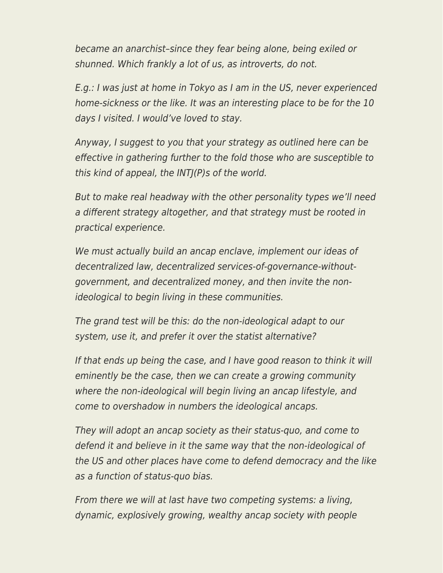became an anarchist–since they fear being alone, being exiled or shunned. Which frankly a lot of us, as introverts, do not.

E.g.: I was just at home in Tokyo as I am in the US, never experienced home-sickness or the like. It was an interesting place to be for the 10 days I visited. I would've loved to stay.

Anyway, I suggest to you that your strategy as outlined here can be effective in gathering further to the fold those who are susceptible to this kind of appeal, the  $INTI(P)$ s of the world.

But to make real headway with the other personality types we'll need a different strategy altogether, and that strategy must be rooted in practical experience.

We must actually build an ancap enclave, implement our ideas of decentralized law, decentralized services-of-governance-withoutgovernment, and decentralized money, and then invite the nonideological to begin living in these communities.

The grand test will be this: do the non-ideological adapt to our system, use it, and prefer it over the statist alternative?

If that ends up being the case, and I have good reason to think it will eminently be the case, then we can create a growing community where the non-ideological will begin living an ancap lifestyle, and come to overshadow in numbers the ideological ancaps.

They will adopt an ancap society as their status-quo, and come to defend it and believe in it the same way that the non-ideological of the US and other places have come to defend democracy and the like as a function of status-quo bias.

From there we will at last have two competing systems: a living, dynamic, explosively growing, wealthy ancap society with people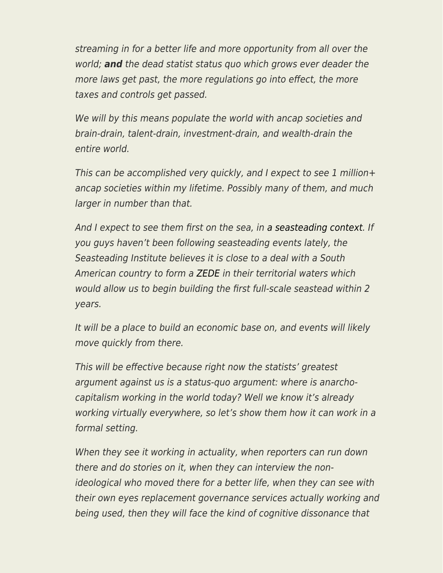streaming in for a better life and more opportunity from all over the world; *and* the dead statist status quo which grows ever deader the more laws get past, the more regulations go into effect, the more taxes and controls get passed.

We will by this means populate the world with ancap societies and brain-drain, talent-drain, investment-drain, and wealth-drain the entire world.

This can be accomplished very quickly, and I expect to see 1 million+ ancap societies within my lifetime. Possibly many of them, and much larger in number than that.

And I expect to see them first on the sea, in [a seasteading context](http://en.wikipedia.org/wiki/Seasteading). If you guys haven't been following seasteading events lately, the Seasteading Institute believes it is close to a deal with a South American country to form a [ZEDE](http://www.reddit.com/r/ZEDE) in their territorial waters which would allow us to begin building the first full-scale seastead within 2 years.

It will be a place to build an economic base on, and events will likely move quickly from there.

This will be effective because right now the statists' greatest argument against us is a status-quo argument: where is anarchocapitalism working in the world today? Well we know it's already working virtually everywhere, so let's show them how it can work in a formal setting.

When they see it working in actuality, when reporters can run down there and do stories on it, when they can interview the nonideological who moved there for a better life, when they can see with their own eyes replacement governance services actually working and being used, then they will face the kind of cognitive dissonance that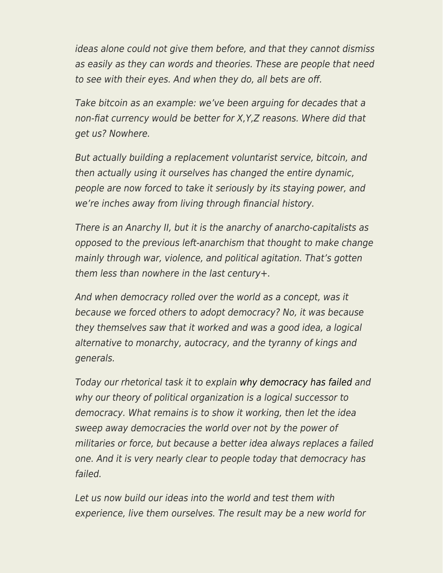ideas alone could not give them before, and that they cannot dismiss as easily as they can words and theories. These are people that need to see with their eyes. And when they do, all bets are off.

Take bitcoin as an example: we've been arguing for decades that a non-fiat currency would be better for X,Y,Z reasons. Where did that get us? Nowhere.

But actually building a replacement voluntarist service, bitcoin, and then actually using it ourselves has changed the entire dynamic, people are now forced to take it seriously by its staying power, and we're inches away from living through financial history.

There is an Anarchy II, but it is the anarchy of anarcho-capitalists as opposed to the previous left-anarchism that thought to make change mainly through war, violence, and political agitation. That's gotten them less than nowhere in the last century+.

And when democracy rolled over the world as a concept, was it because we forced others to adopt democracy? No, it was because they themselves saw that it worked and was a good idea, a logical alternative to monarchy, autocracy, and the tyranny of kings and generals.

Today our rhetorical task it to explain [why democracy has failed](https://web.archive.org/web/20170817032652/https://archive.lewrockwell.com/hoppe/hoppe4.html) and why our theory of political organization is a logical successor to democracy. What remains is to show it working, then let the idea sweep away democracies the world over not by the power of militaries or force, but because a better idea always replaces a failed one. And it is very nearly clear to people today that democracy has failed.

Let us now build our ideas into the world and test them with experience, live them ourselves. The result may be a new world for